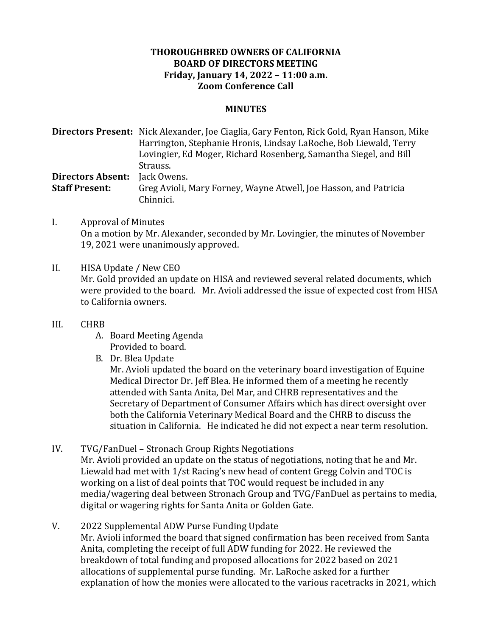## **THOROUGHBRED OWNERS OF CALIFORNIA BOARD OF DIRECTORS MEETING Friday, January 14, 2022 – 11:00 a.m. Zoom Conference Call**

## **MINUTES**

**Directors Present:** Nick Alexander, Joe Ciaglia, Gary Fenton, Rick Gold, Ryan Hanson, Mike Harrington, Stephanie Hronis, Lindsay LaRoche, Bob Liewald, Terry Lovingier, Ed Moger, Richard Rosenberg, Samantha Siegel, and Bill Strauss. **Directors Absent:** Jack Owens. **Staff Present:** Greg Avioli, Mary Forney, Wayne Atwell, Joe Hasson, and Patricia Chinnici.

I. Approval of Minutes On a motion by Mr. Alexander, seconded by Mr. Lovingier, the minutes of November 19, 2021 were unanimously approved.

## II. HISA Update / New CEO

Mr. Gold provided an update on HISA and reviewed several related documents, which were provided to the board. Mr. Avioli addressed the issue of expected cost from HISA to California owners.

## III. CHRB

- A. Board Meeting Agenda Provided to board.
- B. Dr. Blea Update

Mr. Avioli updated the board on the veterinary board investigation of Equine Medical Director Dr. Jeff Blea. He informed them of a meeting he recently attended with Santa Anita, Del Mar, and CHRB representatives and the Secretary of Department of Consumer Affairs which has direct oversight over both the California Veterinary Medical Board and the CHRB to discuss the situation in California. He indicated he did not expect a near term resolution.

- IV. TVG/FanDuel Stronach Group Rights Negotiations Mr. Avioli provided an update on the status of negotiations, noting that he and Mr. Liewald had met with  $1/st$  Racing's new head of content Gregg Colvin and TOC is working on a list of deal points that TOC would request be included in any media/wagering deal between Stronach Group and TVG/FanDuel as pertains to media, digital or wagering rights for Santa Anita or Golden Gate.
- V. 2022 Supplemental ADW Purse Funding Update Mr. Avioli informed the board that signed confirmation has been received from Santa Anita, completing the receipt of full ADW funding for 2022. He reviewed the breakdown of total funding and proposed allocations for 2022 based on 2021 allocations of supplemental purse funding. Mr. LaRoche asked for a further explanation of how the monies were allocated to the various racetracks in 2021, which